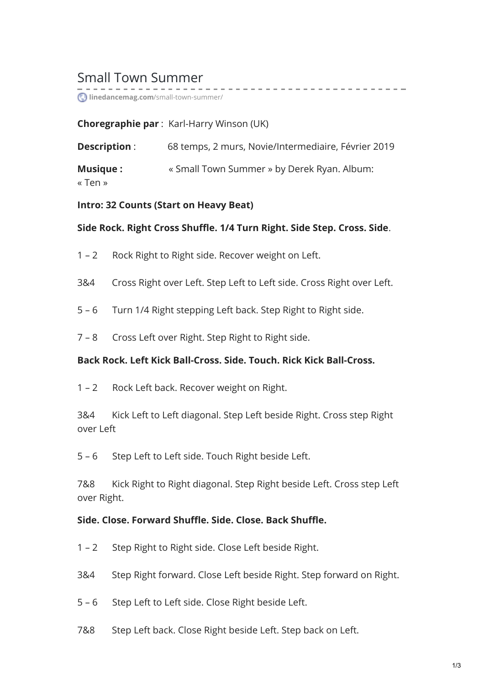# Small Town Summer

**linedancemag.com**[/small-town-summer/](https://www.linedancemag.com/small-town-summer/)

#### **Choregraphie par** : Karl-Harry Winson (UK)

| <b>Description:</b> | 68 temps, 2 murs, Novie/Intermediaire, Février 2019 |
|---------------------|-----------------------------------------------------|
| <b>Musique:</b>     | « Small Town Summer » by Derek Ryan. Album:         |
| « Ten »             |                                                     |

------------

#### **Intro: 32 Counts (Start on Heavy Beat)**

#### **Side Rock. Right Cross Shuffle. 1/4 Turn Right. Side Step. Cross. Side**.

- 1 2 Rock Right to Right side. Recover weight on Left.
- 3&4 Cross Right over Left. Step Left to Left side. Cross Right over Left.
- 5 6 Turn 1/4 Right stepping Left back. Step Right to Right side.
- 7 8 Cross Left over Right. Step Right to Right side.

#### **Back Rock. Left Kick Ball-Cross. Side. Touch. Rick Kick Ball-Cross.**

1 – 2 Rock Left back. Recover weight on Right.

3&4 Kick Left to Left diagonal. Step Left beside Right. Cross step Right over Left

5 – 6 Step Left to Left side. Touch Right beside Left.

7&8 Kick Right to Right diagonal. Step Right beside Left. Cross step Left over Right.

#### **Side. Close. Forward Shuffle. Side. Close. Back Shuffle.**

- 1 2 Step Right to Right side. Close Left beside Right.
- 3&4 Step Right forward. Close Left beside Right. Step forward on Right.
- 5 6 Step Left to Left side. Close Right beside Left.
- 7&8 Step Left back. Close Right beside Left. Step back on Left.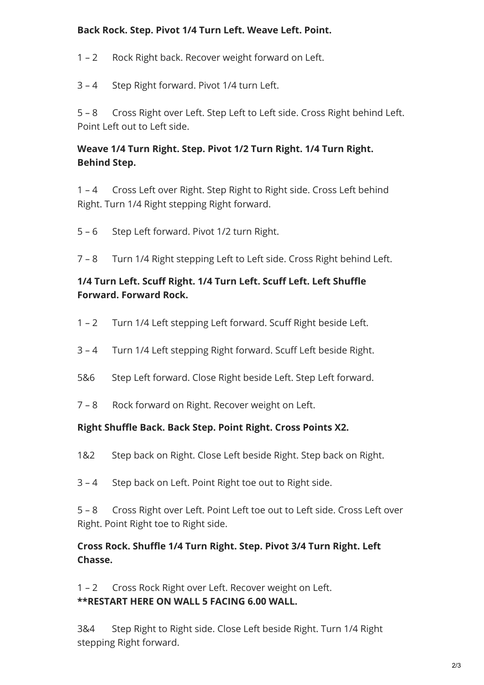## **Back Rock. Step. Pivot 1/4 Turn Left. Weave Left. Point.**

1 – 2 Rock Right back. Recover weight forward on Left.

3 – 4 Step Right forward. Pivot 1/4 turn Left.

5 – 8 Cross Right over Left. Step Left to Left side. Cross Right behind Left. Point Left out to Left side.

# **Weave 1/4 Turn Right. Step. Pivot 1/2 Turn Right. 1/4 Turn Right. Behind Step.**

1 – 4 Cross Left over Right. Step Right to Right side. Cross Left behind Right. Turn 1/4 Right stepping Right forward.

- 5 6 Step Left forward. Pivot 1/2 turn Right.
- 7 8 Turn 1/4 Right stepping Left to Left side. Cross Right behind Left.

## **1/4 Turn Left. Scuff Right. 1/4 Turn Left. Scuff Left. Left Shuffle Forward. Forward Rock.**

- 1 2 Turn 1/4 Left stepping Left forward. Scuff Right beside Left.
- 3 4 Turn 1/4 Left stepping Right forward. Scuff Left beside Right.
- 5&6 Step Left forward. Close Right beside Left. Step Left forward.
- 7 8 Rock forward on Right. Recover weight on Left.

#### **Right Shuffle Back. Back Step. Point Right. Cross Points X2.**

- 1&2 Step back on Right. Close Left beside Right. Step back on Right.
- 3 4 Step back on Left. Point Right toe out to Right side.

5 – 8 Cross Right over Left. Point Left toe out to Left side. Cross Left over Right. Point Right toe to Right side.

## **Cross Rock. Shuffle 1/4 Turn Right. Step. Pivot 3/4 Turn Right. Left Chasse.**

1 – 2 Cross Rock Right over Left. Recover weight on Left. **\*\*RESTART HERE ON WALL 5 FACING 6.00 WALL.**

3&4 Step Right to Right side. Close Left beside Right. Turn 1/4 Right stepping Right forward.